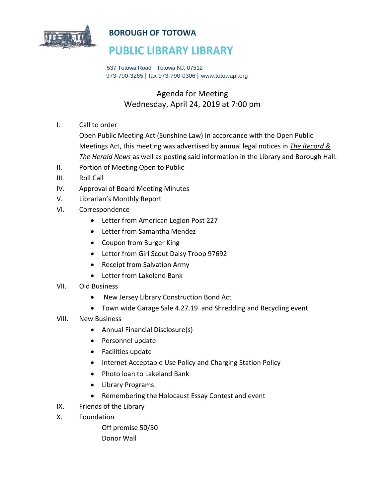

### **BOROUGH OF TOTOWA**

## **PUBLIC LIBRARY LIBRARY**

 537 Totowa Road | Totowa NJ, 07512 973-790-3265 | fax 973-790-0306 | www.totowapl.org

## Agenda for Meeting Wednesday, April 24, 2019 at 7:00 pm

I. Call to order

Open Public Meeting Act (Sunshine Law) In accordance with the Open Public Meetings Act, this meeting was advertised by annual legal notices in *The Record & The Herald News* as well as posting said information in the Library and Borough Hall.

- II. Portion of Meeting Open to Public
- III. Roll Call
- IV. Approval of Board Meeting Minutes
- V. Librarian's Monthly Report
- VI. Correspondence
	- Letter from American Legion Post 227
	- Letter from Samantha Mendez
	- Coupon from Burger King
	- Letter from Girl Scout Daisy Troop 97692
	- Receipt from Salvation Army
	- Letter from Lakeland Bank
- VII. Old Business
	- New Jersey Library Construction Bond Act
	- Town wide Garage Sale 4.27.19 and Shredding and Recycling event
- VIII. New Business
	- Annual Financial Disclosure(s)
	- Personnel update
	- Facilities update
	- Internet Acceptable Use Policy and Charging Station Policy
	- Photo loan to Lakeland Bank
	- Library Programs
	- Remembering the Holocaust Essay Contest and event
- IX. Friends of the Library
- X. Foundation

Off premise 50/50 Donor Wall